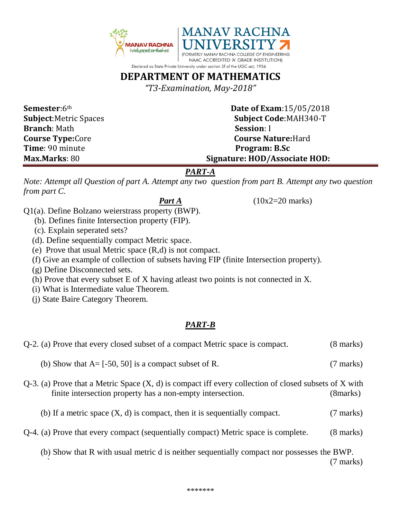

# **DEPARTMENT OF MATHEMATICS**

*"T3-Examination, May-2018"*

**Branch**: Math **Session**: I **Time**: 90 minute **Program: B.Sc Max.Marks**: 80 **Signature: HOD/Associate HOD:**

**Semester**:6<sup>th</sup> **Date of Exam**:15/05/2018 **Subject**:Metric Spaces **Subject Code**:MAH340-T **Course Type:**Core **Course Nature:**Hard

### *PART-A*

*Note: Attempt all Question of part A. Attempt any two question from part B. Attempt any two question from part C.*

*Part A* (10x2=20 marks)

Q1(a). Define Bolzano weierstrass property (BWP).

- (b). Defines finite Intersection property (FIP).
- (c). Explain seperated sets?
- (d). Define sequentially compact Metric space.
- (e) Prove that usual Metric space (R,d) is not compact.
- (f) Give an example of collection of subsets having FIP (finite Intersection property).
- (g) Define Disconnected sets.
- (h) Prove that every subset E of X having atleast two points is not connected in X.
- (i) What is Intermediate value Theorem.
- (j) State Baire Category Theorem.

## *PART-B*

| Q-2. (a) Prove that every closed subset of a compact Metric space is compact.                                                                                            | $(8 \text{ marks})$ |
|--------------------------------------------------------------------------------------------------------------------------------------------------------------------------|---------------------|
| (b) Show that $A = [-50, 50]$ is a compact subset of R.                                                                                                                  | $(7 \text{ marks})$ |
| $Q-3$ . (a) Prove that a Metric Space $(X, d)$ is compact iff every collection of closed subsets of X with<br>finite intersection property has a non-empty intersection. | (8marks)            |
| (b) If a metric space $(X, d)$ is compact, then it is sequentially compact.                                                                                              | (7 marks)           |

Q-4. (a) Prove that every compact (sequentially compact) Metric space is complete. (8 marks)

 (b) Show that R with usual metric d is neither sequentially compact nor possesses the BWP. ` (7 marks)